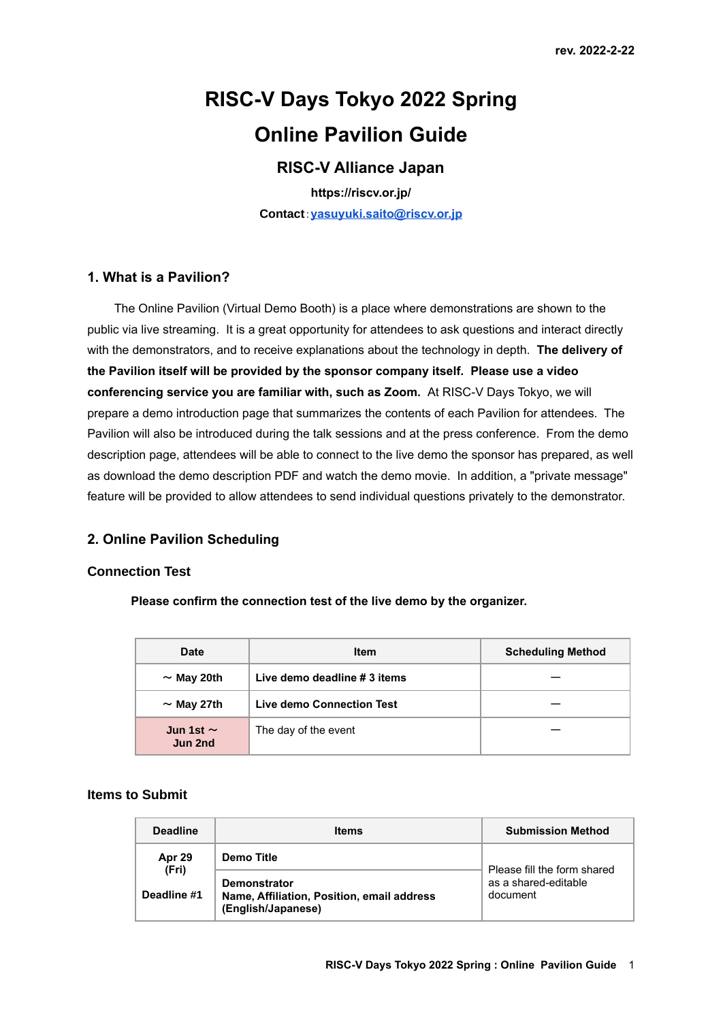# **RISC-V Days Tokyo 2022 Spring Online Pavilion Guide**

## **RISC-V Alliance Japan**

**https://riscv.or.jp/ Contact**:**[yasuyuki.saito@riscv.or.jp](mailto:yasuyuki.saito@riscv.or.jp)**

## **1. What is a Pavilion?**

The Online Pavilion (Virtual Demo Booth) is a place where demonstrations are shown to the public via live streaming. It is a great opportunity for attendees to ask questions and interact directly with the demonstrators, and to receive explanations about the technology in depth. **The delivery of the Pavilion itself will be provided by the sponsor company itself. Please use a video conferencing service you are familiar with, such as Zoom.** At RISC-V Days Tokyo, we will prepare a demo introduction page that summarizes the contents of each Pavilion for attendees. The Pavilion will also be introduced during the talk sessions and at the press conference. From the demo description page, attendees will be able to connect to the live demo the sponsor has prepared, as well as download the demo description PDF and watch the demo movie. In addition, a "private message" feature will be provided to allow attendees to send individual questions privately to the demonstrator.

## **2. Online Pavilion Scheduling**

#### **Connection Test**

**Please confirm the connection test of the live demo by the organizer.**

| Date                      | <b>Item</b>                  | <b>Scheduling Method</b> |
|---------------------------|------------------------------|--------------------------|
| $\sim$ May 20th           | Live demo deadline # 3 items |                          |
| $\sim$ May 27th           | Live demo Connection Test    |                          |
| Jun 1st $\sim$<br>Jun 2nd | The day of the event         |                          |

### **Items to Submit**

| <b>Deadline</b>                | <b>Items</b>                                                                                          | <b>Submission Method</b>                                        |
|--------------------------------|-------------------------------------------------------------------------------------------------------|-----------------------------------------------------------------|
| Apr 29<br>(Fri)<br>Deadline #1 | Demo Title<br><b>Demonstrator</b><br>Name, Affiliation, Position, email address<br>(English/Japanese) | Please fill the form shared<br>as a shared-editable<br>document |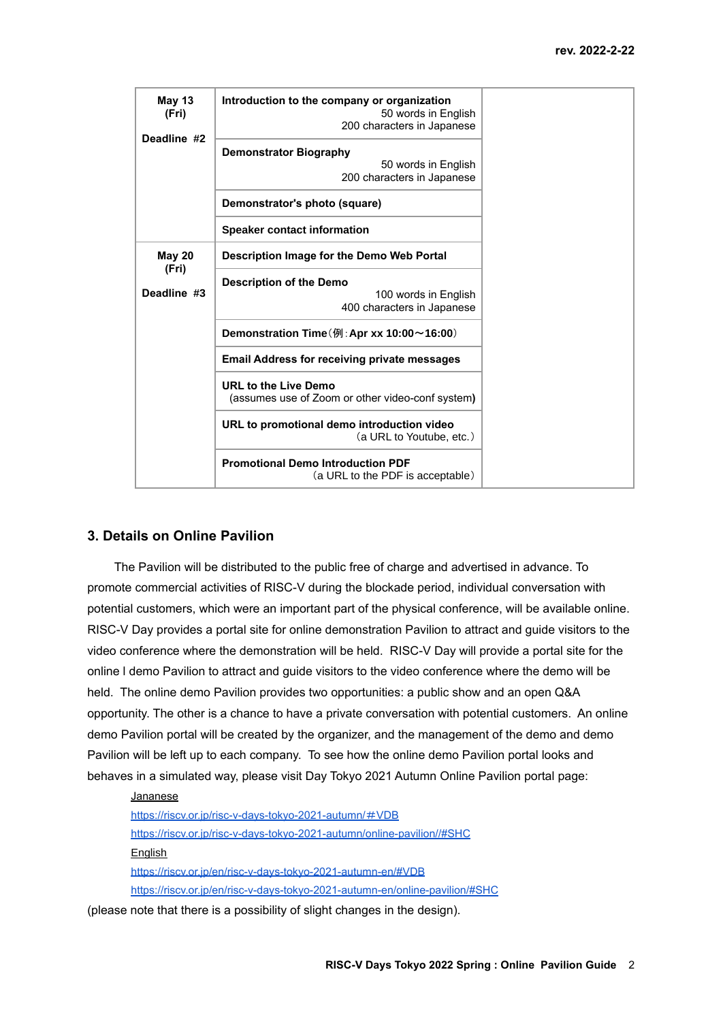| May 13<br>(Fri)<br>Deadline #2 | Introduction to the company or organization<br>50 words in English<br>200 characters in Japanese |
|--------------------------------|--------------------------------------------------------------------------------------------------|
|                                | <b>Demonstrator Biography</b><br>50 words in English<br>200 characters in Japanese               |
|                                | Demonstrator's photo (square)                                                                    |
|                                | <b>Speaker contact information</b>                                                               |
| <b>May 20</b><br>(Fri)         | Description Image for the Demo Web Portal                                                        |
| Deadline #3                    | <b>Description of the Demo</b><br>100 words in English<br>400 characters in Japanese             |
|                                | Demonstration Time ( $\overline{M}$ : Apr xx 10:00 ~ 16:00)                                      |
|                                | <b>Email Address for receiving private messages</b>                                              |
|                                | <b>URL to the Live Demo</b><br>(assumes use of Zoom or other video-conf system)                  |
|                                | URL to promotional demo introduction video<br>(a URL to Youtube, etc.)                           |
|                                | <b>Promotional Demo Introduction PDF</b><br>(a URL to the PDF is acceptable)                     |

#### **3. Details on Online Pavilion**

The Pavilion will be distributed to the public free of charge and advertised in advance. To promote commercial activities of RISC-V during the blockade period, individual conversation with potential customers, which were an important part of the physical conference, will be available online. RISC-V Day provides a portal site for online demonstration Pavilion to attract and guide visitors to the video conference where the demonstration will be held. RISC-V Day will provide a portal site for the online l demo Pavilion to attract and guide visitors to the video conference where the demo will be held. The online demo Pavilion provides two opportunities: a public show and an open Q&A opportunity. The other is a chance to have a private conversation with potential customers. An online demo Pavilion portal will be created by the organizer, and the management of the demo and demo Pavilion will be left up to each company. To see how the online demo Pavilion portal looks and behaves in a simulated way, please visit Day Tokyo 2021 Autumn Online Pavilion portal page:

#### Jananese

[https://riscv.or.jp/risc-v-days-tokyo-2021-autumn/](https://riscv.or.jp/risc-v-days-tokyo-2021-autumn/%EF%BC%83VDB)#VDB <https://riscv.or.jp/risc-v-days-tokyo-2021-autumn/online-pavilion//#SHC> **English** <https://riscv.or.jp/en/risc-v-days-tokyo-2021-autumn-en/#VDB> <https://riscv.or.jp/en/risc-v-days-tokyo-2021-autumn-en/online-pavilion/#SHC>

(please note that there is a possibility of slight changes in the design).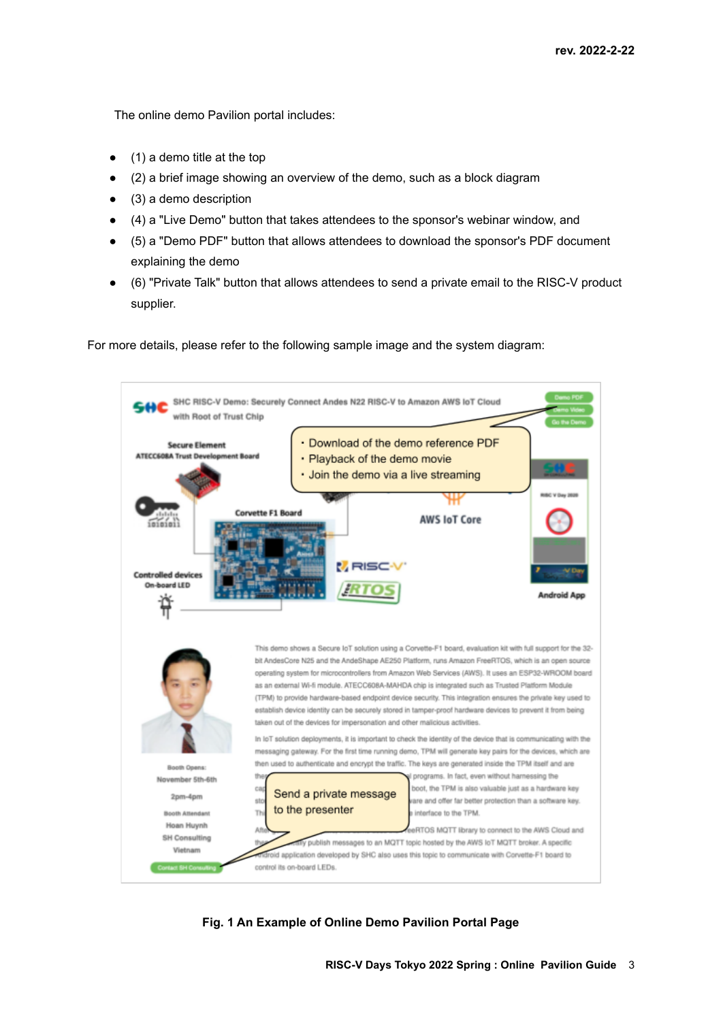The online demo Pavilion portal includes:

- $\bullet$  (1) a demo title at the top
- (2) a brief image showing an overview of the demo, such as a block diagram
- $\bullet$  (3) a demo description
- (4) a "Live Demo" button that takes attendees to the sponsor's webinar window, and
- (5) a "Demo PDF" button that allows attendees to download the sponsor's PDF document explaining the demo
- (6) "Private Talk" button that allows attendees to send a private email to the RISC-V product supplier.

For more details, please refer to the following sample image and the system diagram:



## **Fig. 1 An Example of Online Demo Pavilion Portal Page**